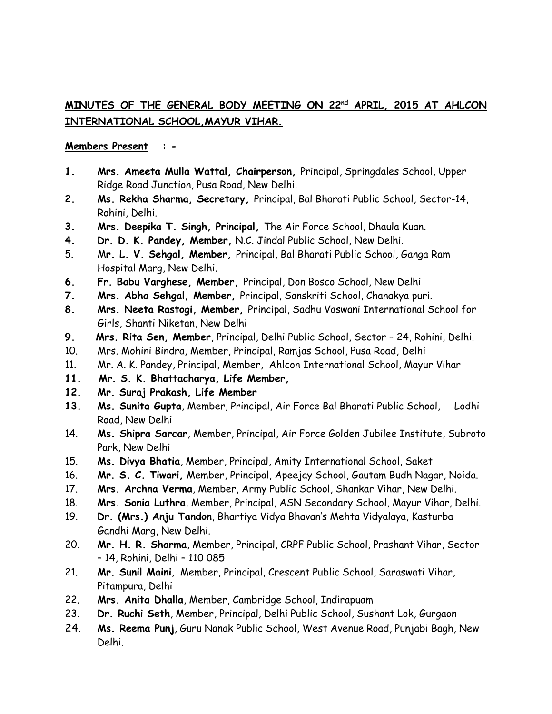## **MINUTES OF THE GENERAL BODY MEETING ON 22 nd APRIL, 2015 AT AHLCON INTERNATIONAL SCHOOL,MAYUR VIHAR.**

### **Members Present : -**

- **1. Mrs. Ameeta Mulla Wattal, Chairperson,** Principal, Springdales School, Upper Ridge Road Junction, Pusa Road, New Delhi.
- **2. Ms. Rekha Sharma, Secretary,** Principal, Bal Bharati Public School, Sector-14, Rohini, Delhi.
- **3. Mrs. Deepika T. Singh, Principal,** The Air Force School, Dhaula Kuan.
- **4. Dr. D. K. Pandey, Member,** N.C. Jindal Public School, New Delhi.
- 5. M**r. L. V. Sehgal, Member,** Principal, Bal Bharati Public School, Ganga Ram Hospital Marg, New Delhi.
- **6. Fr. Babu Varghese, Member,** Principal, Don Bosco School, New Delhi
- **7. Mrs. Abha Sehgal, Member,** Principal, Sanskriti School, Chanakya puri.
- **8. Mrs. Neeta Rastogi, Member,** Principal, Sadhu Vaswani International School for Girls, Shanti Niketan, New Delhi
- **9. Mrs. Rita Sen, Member**, Principal, Delhi Public School, Sector 24, Rohini, Delhi.
- 10. Mrs. Mohini Bindra, Member, Principal, Ramjas School, Pusa Road, Delhi
- 11. Mr. A. K. Pandey, Principal, Member, Ahlcon International School, Mayur Vihar
- **11. Mr. S. K. Bhattacharya, Life Member,**
- **12. Mr. Suraj Prakash, Life Member**
- **13. Ms. Sunita Gupta**, Member, Principal, Air Force Bal Bharati Public School, Lodhi Road, New Delhi
- 14. **Ms. Shipra Sarcar**, Member, Principal, Air Force Golden Jubilee Institute, Subroto Park, New Delhi
- 15. **Ms. Divya Bhatia**, Member, Principal, Amity International School, Saket
- 16. **Mr. S. C. Tiwari,** Member, Principal, Apeejay School, Gautam Budh Nagar, Noida.
- 17. **Mrs. Archna Verma**, Member, Army Public School, Shankar Vihar, New Delhi.
- 18. **Mrs. Sonia Luthra**, Member, Principal, ASN Secondary School, Mayur Vihar, Delhi.
- 19. **Dr. (Mrs.) Anju Tandon**, Bhartiya Vidya Bhavan's Mehta Vidyalaya, Kasturba Gandhi Marg, New Delhi.
- 20. **Mr. H. R. Sharma**, Member, Principal, CRPF Public School, Prashant Vihar, Sector – 14, Rohini, Delhi – 110 085
- 21. **Mr. Sunil Maini**, Member, Principal, Crescent Public School, Saraswati Vihar, Pitampura, Delhi
- 22. **Mrs. Anita Dhalla**, Member, Cambridge School, Indirapuam
- 23. **Dr. Ruchi Seth**, Member, Principal, Delhi Public School, Sushant Lok, Gurgaon
- 24. **Ms. Reema Punj**, Guru Nanak Public School, West Avenue Road, Punjabi Bagh, New Delhi.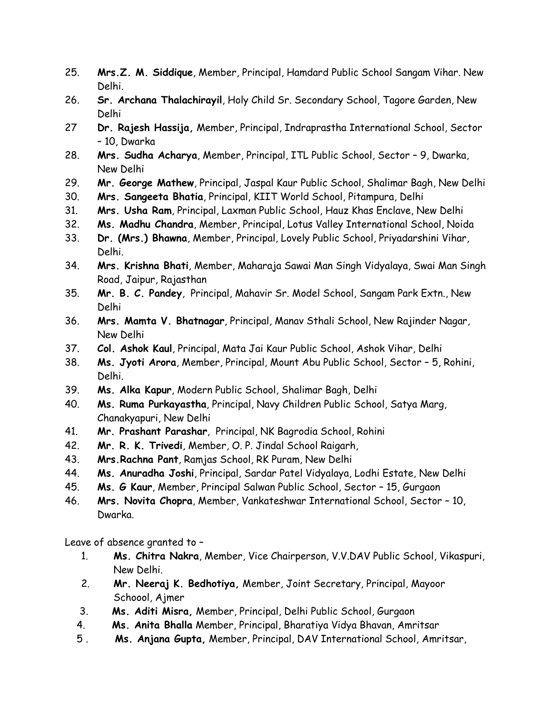- 25. **Mrs.Z. M. Siddique**, Member, Principal, Hamdard Public School Sangam Vihar. New Delhi.
- 26. **Sr. Archana Thalachirayil**, Holy Child Sr. Secondary School, Tagore Garden, New Delhi
- 27 **Dr. Rajesh Hassija,** Member, Principal, Indraprastha International School, Sector – 10, Dwarka
- 28. **Mrs. Sudha Acharya**, Member, Principal, ITL Public School, Sector 9, Dwarka, New Delhi
- 29. **Mr. George Mathew**, Principal, Jaspal Kaur Public School, Shalimar Bagh, New Delhi
- 30. **Mrs. Sangeeta Bhatia**, Principal, KIIT World School, Pitampura, Delhi
- 31. **Mrs. Usha Ram**, Principal, Laxman Public School, Hauz Khas Enclave, New Delhi
- 32. **Ms. Madhu Chandra**, Member, Principal, Lotus Valley International School, Noida
- 33. **Dr. (Mrs.) Bhawna**, Member, Principal, Lovely Public School, Priyadarshini Vihar, Delhi.
- 34. **Mrs. Krishna Bhati**, Member, Maharaja Sawai Man Singh Vidyalaya, Swai Man Singh Road, Jaipur, Rajasthan
- 35. **Mr. B. C. Pandey**, Principal, Mahavir Sr. Model School, Sangam Park Extn., New Delhi
- 36. **Mrs. Mamta V. Bhatnagar**, Principal, Manav Sthali School, New Rajinder Nagar, New Delhi
- 37. **Col. Ashok Kaul**, Principal, Mata Jai Kaur Public School, Ashok Vihar, Delhi
- 38. **Ms. Jyoti Arora**, Member, Principal, Mount Abu Public School, Sector 5, Rohini, Delhi.
- 39. **Ms. Alka Kapur**, Modern Public School, Shalimar Bagh, Delhi
- 40. **Ms. Ruma Purkayastha**, Principal, Navy Children Public School, Satya Marg, Chanakyapuri, New Delhi
- 41. **Mr. Prashant Parashar**, Principal, NK Bagrodia School, Rohini
- 42. **Mr. R. K. Trivedi**, Member, O. P. Jindal School Raigarh,
- 43. **Mrs.Rachna Pant**, Ramjas School, RK Puram, New Delhi
- 44. **Ms. Anuradha Joshi**, Principal, Sardar Patel Vidyalaya, Lodhi Estate, New Delhi
- 45. **Ms. G Kaur**, Member, Principal Salwan Public School, Sector 15, Gurgaon
- 46. **Mrs. Novita Chopra**, Member, Vankateshwar International School, Sector 10, Dwarka.

Leave of absence granted to –

- 1. **Ms. Chitra Nakra**, Member, Vice Chairperson, V.V.DAV Public School, Vikaspuri, New Delhi.
- 2. **Mr. Neeraj K. Bedhotiya,** Member, Joint Secretary, Principal, Mayoor Schoool, Ajmer
- 3. **Ms. Aditi Misra,** Member, Principal, Delhi Public School, Gurgaon
- 4. **Ms. Anita Bhalla** Member, Principal, Bharatiya Vidya Bhavan, Amritsar
- 5 . **Ms. Anjana Gupta,** Member, Principal, DAV International School, Amritsar,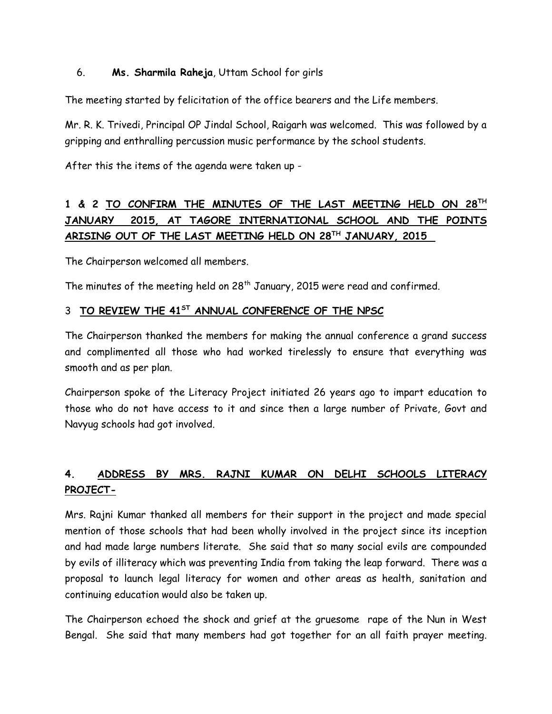## 6. **Ms. Sharmila Raheja**, Uttam School for girls

The meeting started by felicitation of the office bearers and the Life members.

Mr. R. K. Trivedi, Principal OP Jindal School, Raigarh was welcomed. This was followed by a gripping and enthralling percussion music performance by the school students.

After this the items of the agenda were taken up -

# **1 & 2 TO CONFIRM THE MINUTES OF THE LAST MEETING HELD ON 28 TH JANUARY 2015, AT TAGORE INTERNATIONAL SCHOOL AND THE POINTS ARISING OUT OF THE LAST MEETING HELD ON 28 TH JANUARY, 2015**

The Chairperson welcomed all members.

The minutes of the meeting held on 28<sup>th</sup> January, 2015 were read and confirmed.

### 3 **TO REVIEW THE 41ST ANNUAL CONFERENCE OF THE NPSC**

The Chairperson thanked the members for making the annual conference a grand success and complimented all those who had worked tirelessly to ensure that everything was smooth and as per plan.

Chairperson spoke of the Literacy Project initiated 26 years ago to impart education to those who do not have access to it and since then a large number of Private, Govt and Navyug schools had got involved.

# **4. ADDRESS BY MRS. RAJNI KUMAR ON DELHI SCHOOLS LITERACY PROJECT-**

Mrs. Rajni Kumar thanked all members for their support in the project and made special mention of those schools that had been wholly involved in the project since its inception and had made large numbers literate. She said that so many social evils are compounded by evils of illiteracy which was preventing India from taking the leap forward. There was a proposal to launch legal literacy for women and other areas as health, sanitation and continuing education would also be taken up.

The Chairperson echoed the shock and grief at the gruesome rape of the Nun in West Bengal. She said that many members had got together for an all faith prayer meeting.